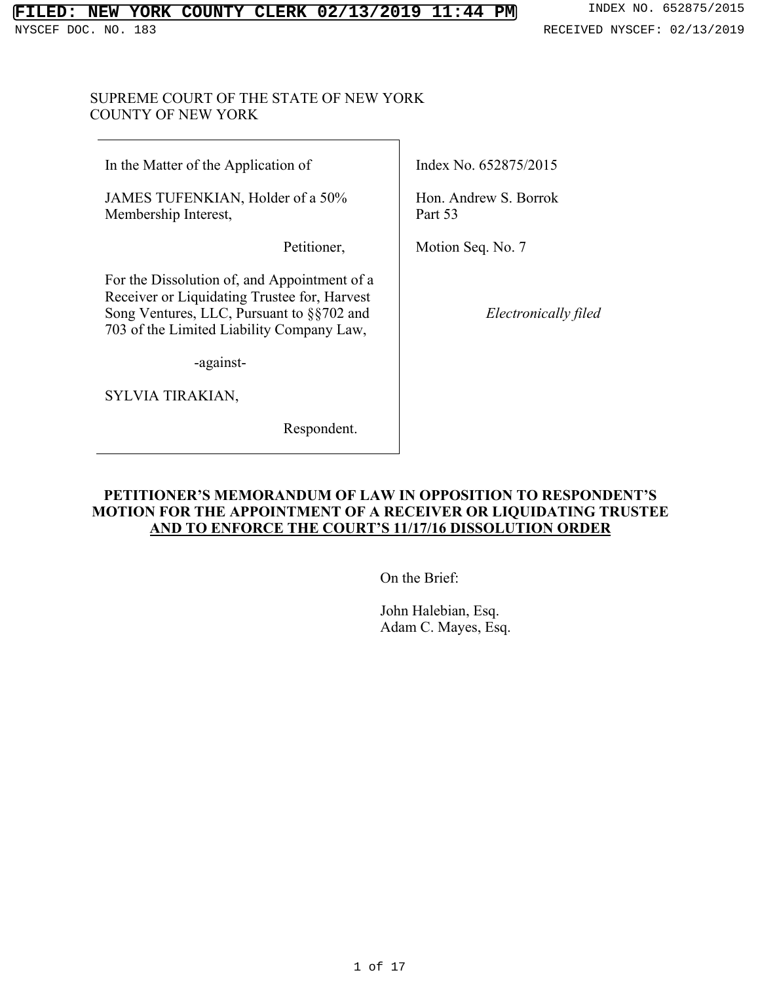#### **FILED: NEW YORK COUNTY CLERK 02/13/2019 11:44 PM** INDEX NO. 652875/2015 NYSCEF DOC. NO. 183 and the set of the set of the set of the set of the set of the set of the set of the set of the set of the set of the set of the set of the set of the set of the set of the set of the set of the set of

## SUPREME COURT OF THE STATE OF NEW YORK COUNTY OF NEW YORK

In the Matter of the Application of

JAMES TUFENKIAN, Holder of a 50% Membership Interest,

Petitioner,

For the Dissolution of, and Appointment of a Receiver or Liquidating Trustee for, Harvest Song Ventures, LLC, Pursuant to §§702 and 703 of the Limited Liability Company Law,

-against-

SYLVIA TIRAKIAN,

Respondent.

Index No. 652875/2015

Hon. Andrew S. Borrok Part 53

Motion Seq. No. 7

*Electronically filed*

# **PETITIONER'S MEMORANDUM OF LAW IN OPPOSITION TO RESPONDENT'S MOTION FOR THE APPOINTMENT OF A RECEIVER OR LIQUIDATING TRUSTEE AND TO ENFORCE THE COURT'S 11/17/16 DISSOLUTION ORDER**

On the Brief:

John Halebian, Esq. Adam C. Mayes, Esq.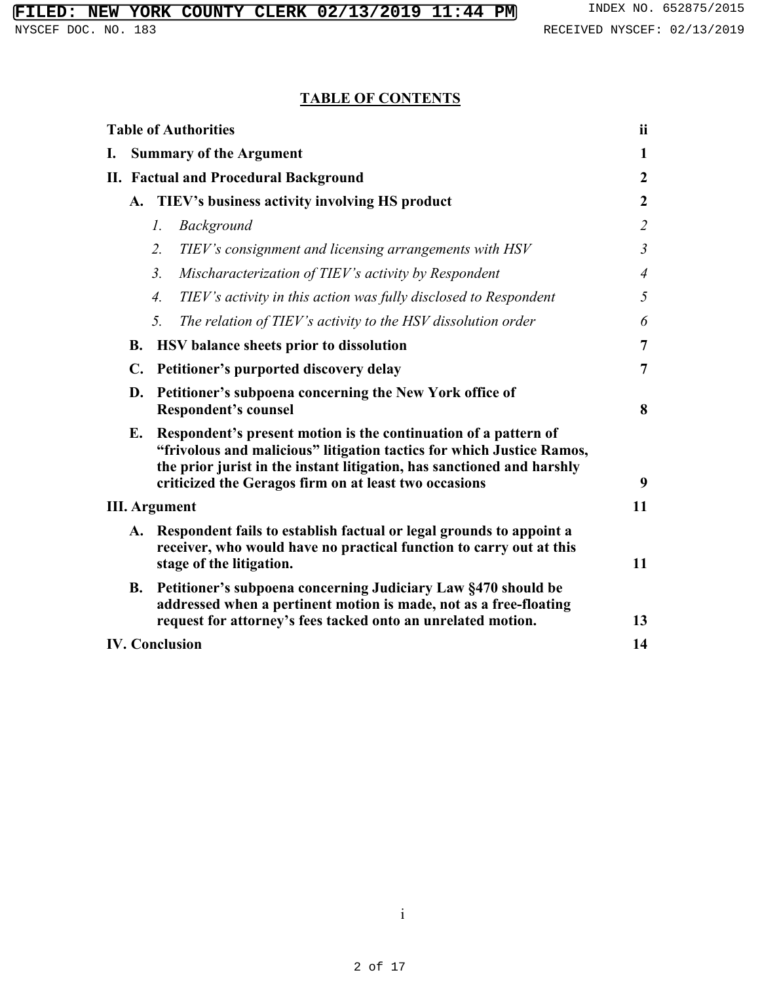# **TABLE OF CONTENTS**

|                      |                                              | <b>Table of Authorities</b>                                                                                                                                                                                                                                                 | <b>ii</b>      |
|----------------------|----------------------------------------------|-----------------------------------------------------------------------------------------------------------------------------------------------------------------------------------------------------------------------------------------------------------------------------|----------------|
| I.                   |                                              | <b>Summary of the Argument</b>                                                                                                                                                                                                                                              | $\mathbf{1}$   |
|                      | <b>II. Factual and Procedural Background</b> |                                                                                                                                                                                                                                                                             | $\overline{2}$ |
|                      |                                              | A. TIEV's business activity involving HS product                                                                                                                                                                                                                            | $\overline{2}$ |
|                      |                                              | Background<br>1.                                                                                                                                                                                                                                                            | $\overline{2}$ |
|                      |                                              | $\overline{2}$ .<br>TIEV's consignment and licensing arrangements with HSV                                                                                                                                                                                                  | $\mathfrak{Z}$ |
|                      |                                              | 3 <sub>1</sub><br>Mischaracterization of TIEV's activity by Respondent                                                                                                                                                                                                      | $\overline{4}$ |
|                      |                                              | TIEV's activity in this action was fully disclosed to Respondent<br>4.                                                                                                                                                                                                      | 5              |
|                      |                                              | 5.<br>The relation of TIEV's activity to the HSV dissolution order                                                                                                                                                                                                          | 6              |
|                      | <b>B.</b>                                    | HSV balance sheets prior to dissolution                                                                                                                                                                                                                                     | $\overline{7}$ |
|                      | $\mathbf{C}$ .                               | Petitioner's purported discovery delay                                                                                                                                                                                                                                      | $\overline{7}$ |
|                      | D.                                           | Petitioner's subpoena concerning the New York office of<br><b>Respondent's counsel</b>                                                                                                                                                                                      | 8              |
|                      | Е.                                           | Respondent's present motion is the continuation of a pattern of<br>"frivolous and malicious" litigation tactics for which Justice Ramos,<br>the prior jurist in the instant litigation, has sanctioned and harshly<br>criticized the Geragos firm on at least two occasions | 9              |
| <b>III.</b> Argument |                                              |                                                                                                                                                                                                                                                                             | 11             |
|                      | A.                                           | Respondent fails to establish factual or legal grounds to appoint a<br>receiver, who would have no practical function to carry out at this<br>stage of the litigation.                                                                                                      | 11             |
|                      | <b>B.</b>                                    | Petitioner's subpoena concerning Judiciary Law §470 should be<br>addressed when a pertinent motion is made, not as a free-floating<br>request for attorney's fees tacked onto an unrelated motion.                                                                          | 13             |
|                      |                                              | <b>IV. Conclusion</b>                                                                                                                                                                                                                                                       | 14             |

i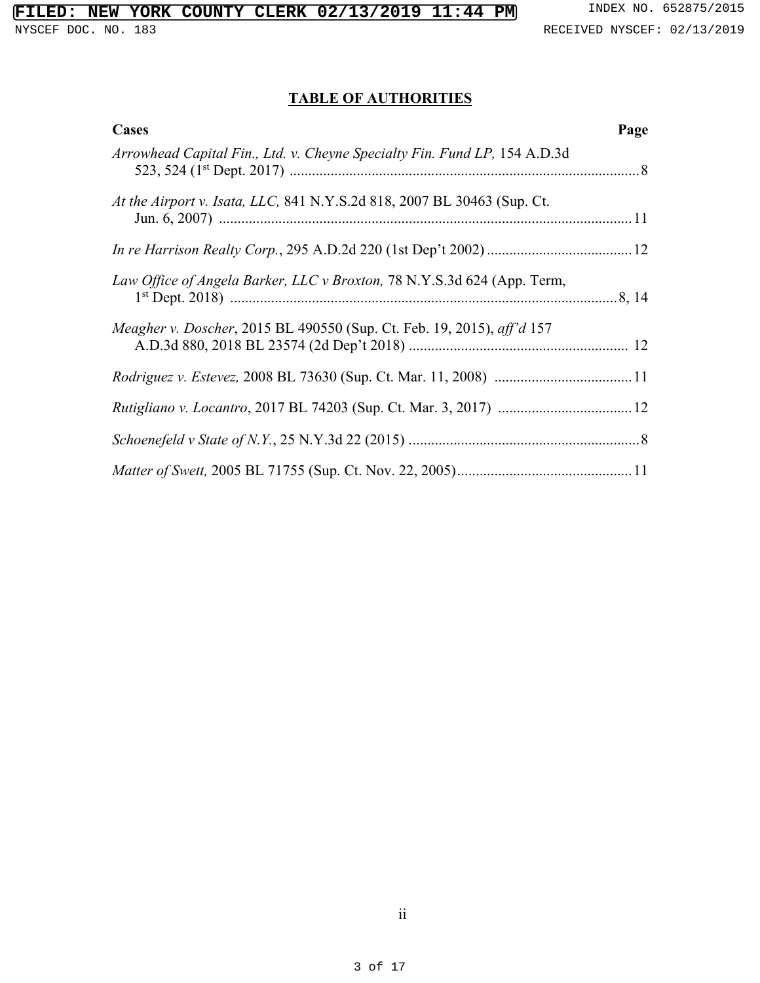# **TABLE OF AUTHORITIES**

| Cases                                                                     | Page |
|---------------------------------------------------------------------------|------|
| Arrowhead Capital Fin., Ltd. v. Cheyne Specialty Fin. Fund LP, 154 A.D.3d |      |
| At the Airport v. Isata, LLC, 841 N.Y.S.2d 818, 2007 BL 30463 (Sup. Ct.   |      |
|                                                                           |      |
| Law Office of Angela Barker, LLC v Broxton, 78 N.Y.S.3d 624 (App. Term,   |      |
| Meagher v. Doscher, 2015 BL 490550 (Sup. Ct. Feb. 19, 2015), aff'd 157    |      |
|                                                                           |      |
|                                                                           |      |
|                                                                           |      |
|                                                                           |      |

ii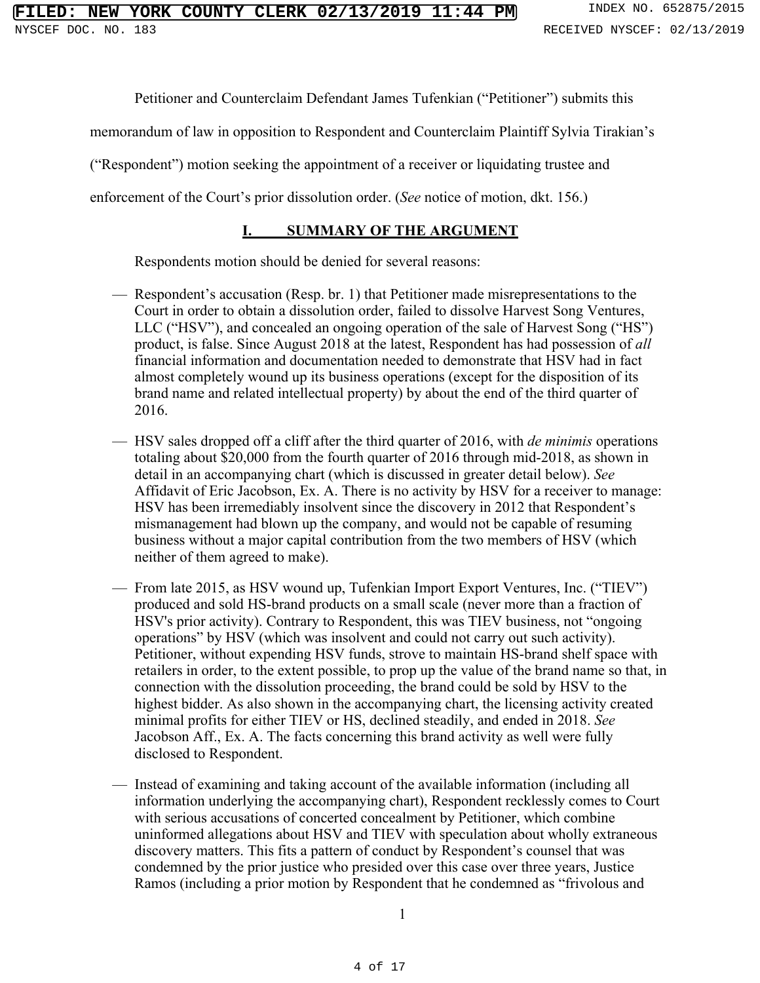Petitioner and Counterclaim Defendant James Tufenkian ("Petitioner") submits this

memorandum of law in opposition to Respondent and Counterclaim Plaintiff Sylvia Tirakian's

("Respondent") motion seeking the appointment of a receiver or liquidating trustee and

enforcement of the Court's prior dissolution order. (*See* notice of motion, dkt. 156.)

# **I. SUMMARY OF THE ARGUMENT**

Respondents motion should be denied for several reasons:

- Respondent's accusation (Resp. br. 1) that Petitioner made misrepresentations to the Court in order to obtain a dissolution order, failed to dissolve Harvest Song Ventures, LLC ("HSV"), and concealed an ongoing operation of the sale of Harvest Song ("HS") product, is false. Since August 2018 at the latest, Respondent has had possession of *all* financial information and documentation needed to demonstrate that HSV had in fact almost completely wound up its business operations (except for the disposition of its brand name and related intellectual property) by about the end of the third quarter of 2016.
- HSV sales dropped off a cliff after the third quarter of 2016, with *de minimis* operations totaling about \$20,000 from the fourth quarter of 2016 through mid-2018, as shown in detail in an accompanying chart (which is discussed in greater detail below). *See* Affidavit of Eric Jacobson, Ex. A. There is no activity by HSV for a receiver to manage: HSV has been irremediably insolvent since the discovery in 2012 that Respondent's mismanagement had blown up the company, and would not be capable of resuming business without a major capital contribution from the two members of HSV (which neither of them agreed to make).
- From late 2015, as HSV wound up, Tufenkian Import Export Ventures, Inc. ("TIEV") produced and sold HS-brand products on a small scale (never more than a fraction of HSV's prior activity). Contrary to Respondent, this was TIEV business, not "ongoing operations" by HSV (which was insolvent and could not carry out such activity). Petitioner, without expending HSV funds, strove to maintain HS-brand shelf space with retailers in order, to the extent possible, to prop up the value of the brand name so that, in connection with the dissolution proceeding, the brand could be sold by HSV to the highest bidder. As also shown in the accompanying chart, the licensing activity created minimal profits for either TIEV or HS, declined steadily, and ended in 2018. *See* Jacobson Aff., Ex. A. The facts concerning this brand activity as well were fully disclosed to Respondent.
- Instead of examining and taking account of the available information (including all information underlying the accompanying chart), Respondent recklessly comes to Court with serious accusations of concerted concealment by Petitioner, which combine uninformed allegations about HSV and TIEV with speculation about wholly extraneous discovery matters. This fits a pattern of conduct by Respondent's counsel that was condemned by the prior justice who presided over this case over three years, Justice Ramos (including a prior motion by Respondent that he condemned as "frivolous and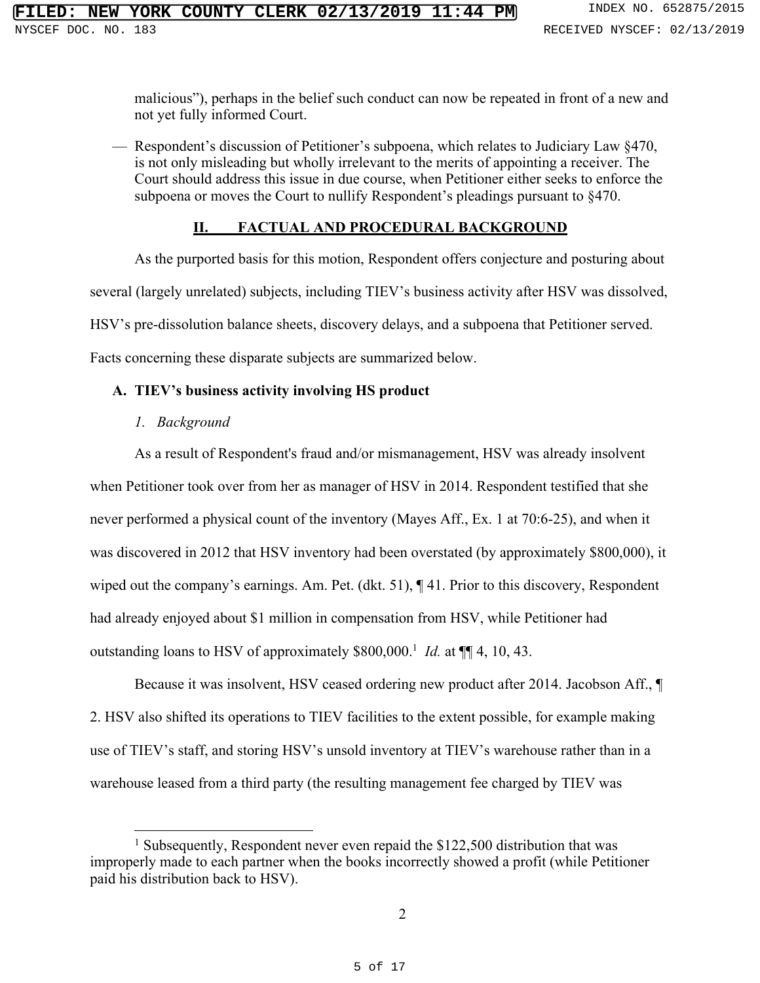malicious"), perhaps in the belief such conduct can now be repeated in front of a new and not yet fully informed Court.

— Respondent's discussion of Petitioner's subpoena, which relates to Judiciary Law §470, is not only misleading but wholly irrelevant to the merits of appointing a receiver. The Court should address this issue in due course, when Petitioner either seeks to enforce the subpoena or moves the Court to nullify Respondent's pleadings pursuant to §470.

## **II. FACTUAL AND PROCEDURAL BACKGROUND**

As the purported basis for this motion, Respondent offers conjecture and posturing about several (largely unrelated) subjects, including TIEV's business activity after HSV was dissolved, HSV's pre-dissolution balance sheets, discovery delays, and a subpoena that Petitioner served. Facts concerning these disparate subjects are summarized below.

## **A. TIEV's business activity involving HS product**

*1. Background*

As a result of Respondent's fraud and/or mismanagement, HSV was already insolvent

when Petitioner took over from her as manager of HSV in 2014. Respondent testified that she never performed a physical count of the inventory (Mayes Aff., Ex. 1 at 70:6-25), and when it was discovered in 2012 that HSV inventory had been overstated (by approximately \$800,000), it wiped out the company's earnings. Am. Pet. (dkt. 51),  $\P$  41. Prior to this discovery, Respondent had already enjoyed about \$1 million in compensation from HSV, while Petitioner had outstanding loans to HSV of approximately \$800,000.<sup>1</sup> *Id.* at  $\P$ [4, 10, 43.

Because it was insolvent, HSV ceased ordering new product after 2014. Jacobson Aff., ¶ 2. HSV also shifted its operations to TIEV facilities to the extent possible, for example making use of TIEV's staff, and storing HSV's unsold inventory at TIEV's warehouse rather than in a warehouse leased from a third party (the resulting management fee charged by TIEV was

 $1$  Subsequently, Respondent never even repaid the \$122,500 distribution that was improperly made to each partner when the books incorrectly showed a profit (while Petitioner paid his distribution back to HSV).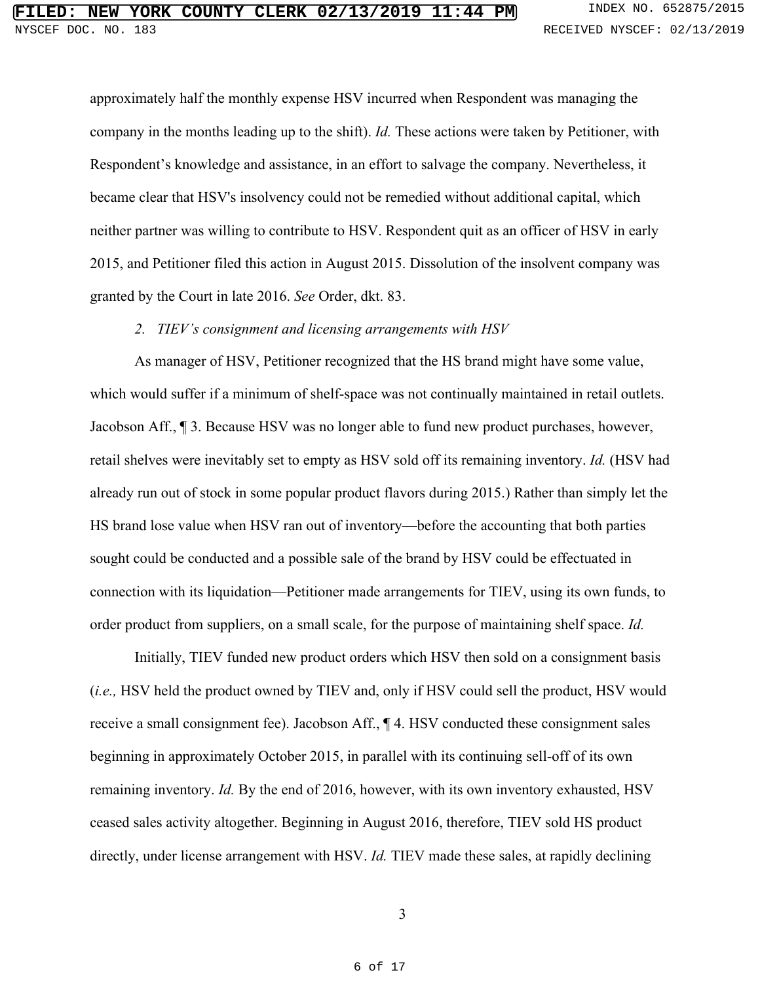approximately half the monthly expense HSV incurred when Respondent was managing the company in the months leading up to the shift). *Id.* These actions were taken by Petitioner, with Respondent's knowledge and assistance, in an effort to salvage the company. Nevertheless, it became clear that HSV's insolvency could not be remedied without additional capital, which neither partner was willing to contribute to HSV. Respondent quit as an officer of HSV in early 2015, and Petitioner filed this action in August 2015. Dissolution of the insolvent company was granted by the Court in late 2016. *See* Order, dkt. 83.

## *2. TIEV's consignment and licensing arrangements with HSV*

As manager of HSV, Petitioner recognized that the HS brand might have some value, which would suffer if a minimum of shelf-space was not continually maintained in retail outlets. Jacobson Aff., ¶ 3. Because HSV was no longer able to fund new product purchases, however, retail shelves were inevitably set to empty as HSV sold off its remaining inventory. *Id.* (HSV had already run out of stock in some popular product flavors during 2015.) Rather than simply let the HS brand lose value when HSV ran out of inventory—before the accounting that both parties sought could be conducted and a possible sale of the brand by HSV could be effectuated in connection with its liquidation—Petitioner made arrangements for TIEV, using its own funds, to order product from suppliers, on a small scale, for the purpose of maintaining shelf space. *Id.*

Initially, TIEV funded new product orders which HSV then sold on a consignment basis (*i.e.,* HSV held the product owned by TIEV and, only if HSV could sell the product, HSV would receive a small consignment fee). Jacobson Aff., ¶ 4. HSV conducted these consignment sales beginning in approximately October 2015, in parallel with its continuing sell-off of its own remaining inventory. *Id.* By the end of 2016, however, with its own inventory exhausted, HSV ceased sales activity altogether. Beginning in August 2016, therefore, TIEV sold HS product directly, under license arrangement with HSV. *Id.* TIEV made these sales, at rapidly declining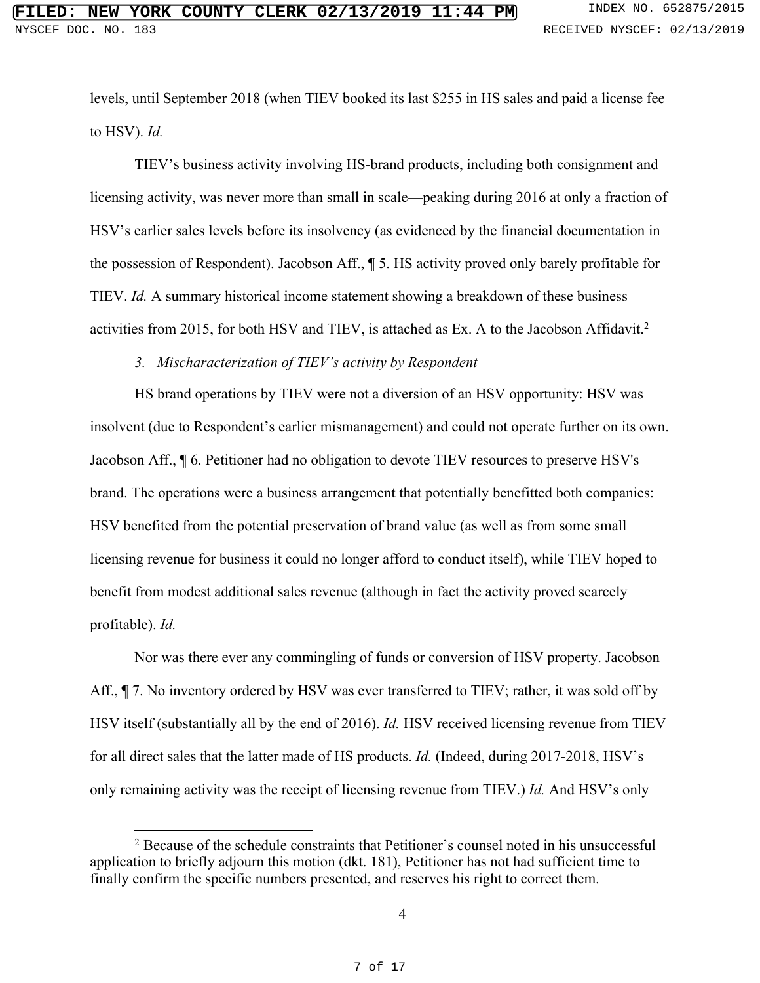levels, until September 2018 (when TIEV booked its last \$255 in HS sales and paid a license fee to HSV). *Id.*

TIEV's business activity involving HS-brand products, including both consignment and licensing activity, was never more than small in scale—peaking during 2016 at only a fraction of HSV's earlier sales levels before its insolvency (as evidenced by the financial documentation in the possession of Respondent). Jacobson Aff., ¶ 5. HS activity proved only barely profitable for TIEV. *Id.* A summary historical income statement showing a breakdown of these business activities from 2015, for both HSV and TIEV, is attached as Ex. A to the Jacobson Affidavit.<sup>2</sup>

## *3. Mischaracterization of TIEV's activity by Respondent*

HS brand operations by TIEV were not a diversion of an HSV opportunity: HSV was insolvent (due to Respondent's earlier mismanagement) and could not operate further on its own. Jacobson Aff., ¶ 6. Petitioner had no obligation to devote TIEV resources to preserve HSV's brand. The operations were a business arrangement that potentially benefitted both companies: HSV benefited from the potential preservation of brand value (as well as from some small licensing revenue for business it could no longer afford to conduct itself), while TIEV hoped to benefit from modest additional sales revenue (although in fact the activity proved scarcely profitable). *Id.*

Nor was there ever any commingling of funds or conversion of HSV property. Jacobson Aff.,  $\P$  7. No inventory ordered by HSV was ever transferred to TIEV; rather, it was sold off by HSV itself (substantially all by the end of 2016). *Id.* HSV received licensing revenue from TIEV for all direct sales that the latter made of HS products. *Id.* (Indeed, during 2017-2018, HSV's only remaining activity was the receipt of licensing revenue from TIEV.) *Id.* And HSV's only

<sup>&</sup>lt;sup>2</sup> Because of the schedule constraints that Petitioner's counsel noted in his unsuccessful application to briefly adjourn this motion (dkt. 181), Petitioner has not had sufficient time to finally confirm the specific numbers presented, and reserves his right to correct them.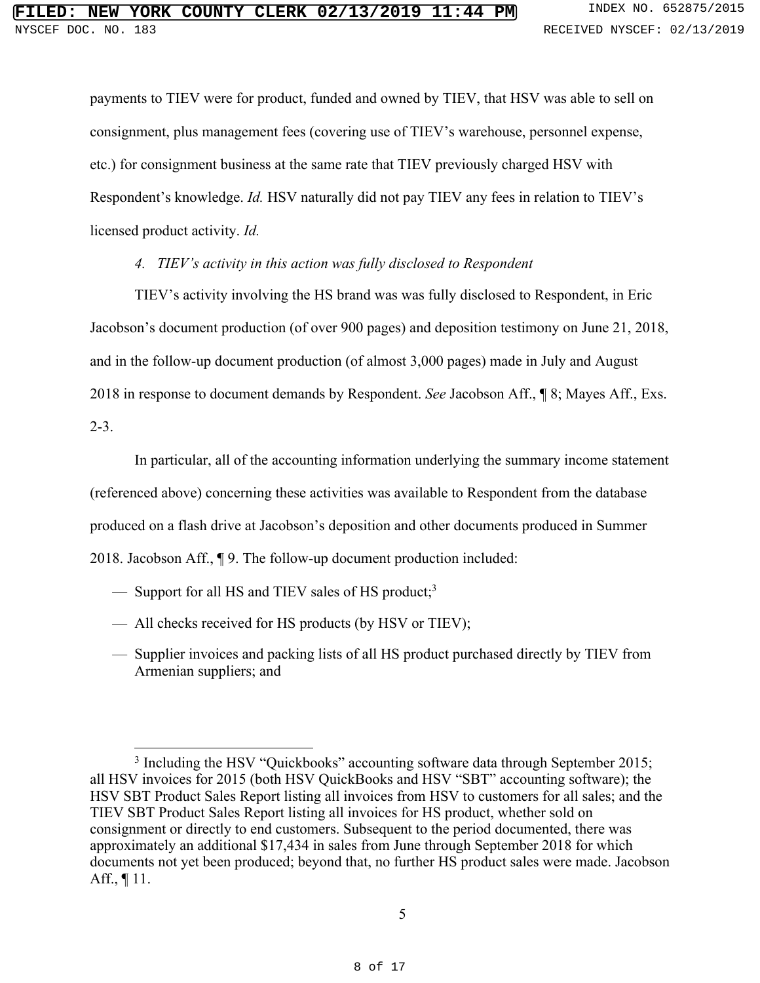payments to TIEV were for product, funded and owned by TIEV, that HSV was able to sell on consignment, plus management fees (covering use of TIEV's warehouse, personnel expense, etc.) for consignment business at the same rate that TIEV previously charged HSV with Respondent's knowledge. *Id.* HSV naturally did not pay TIEV any fees in relation to TIEV's licensed product activity. *Id.*

## *4. TIEV's activity in this action was fully disclosed to Respondent*

TIEV's activity involving the HS brand was was fully disclosed to Respondent, in Eric Jacobson's document production (of over 900 pages) and deposition testimony on June 21, 2018, and in the follow-up document production (of almost 3,000 pages) made in July and August 2018 in response to document demands by Respondent. *See* Jacobson Aff., ¶ 8; Mayes Aff., Exs.

2-3.

In particular, all of the accounting information underlying the summary income statement (referenced above) concerning these activities was available to Respondent from the database produced on a flash drive at Jacobson's deposition and other documents produced in Summer 2018. Jacobson Aff., ¶ 9. The follow-up document production included:

- Support for all HS and TIEV sales of HS product;<sup>3</sup>
- All checks received for HS products (by HSV or TIEV);
- Supplier invoices and packing lists of all HS product purchased directly by TIEV from Armenian suppliers; and

<sup>&</sup>lt;sup>3</sup> Including the HSV "Quickbooks" accounting software data through September 2015; all HSV invoices for 2015 (both HSV QuickBooks and HSV "SBT" accounting software); the HSV SBT Product Sales Report listing all invoices from HSV to customers for all sales; and the TIEV SBT Product Sales Report listing all invoices for HS product, whether sold on consignment or directly to end customers. Subsequent to the period documented, there was approximately an additional \$17,434 in sales from June through September 2018 for which documents not yet been produced; beyond that, no further HS product sales were made. Jacobson Aff.,  $\P$  11.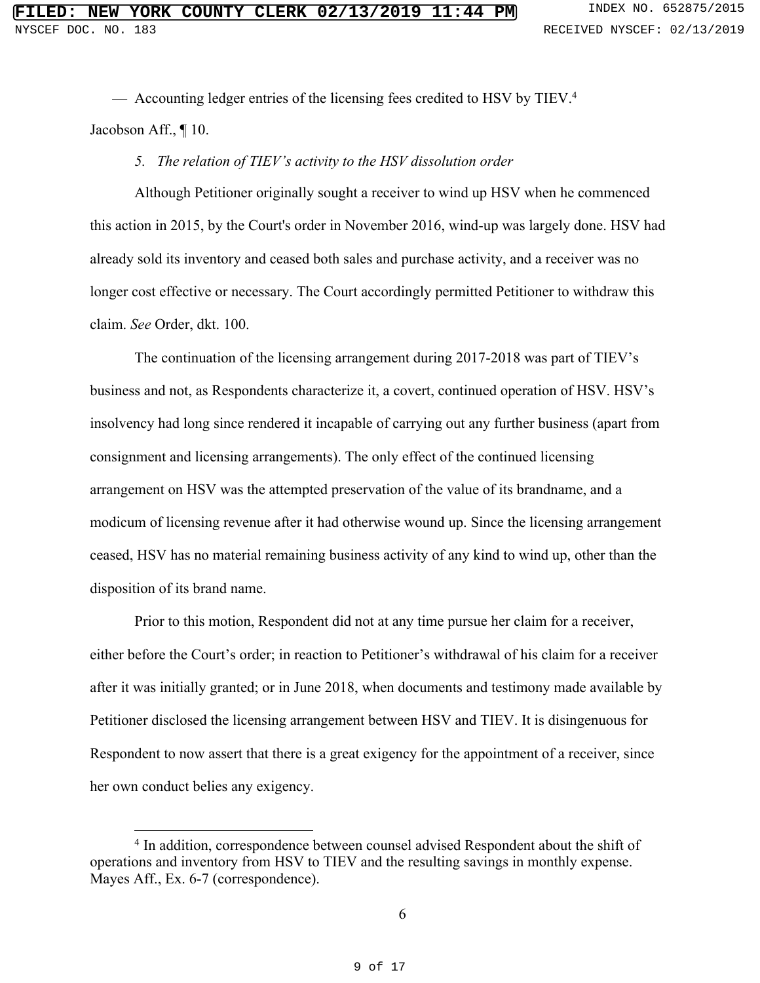— Accounting ledger entries of the licensing fees credited to HSV by TIEV.<sup>4</sup> Jacobson Aff., ¶ 10.

#### *5. The relation of TIEV's activity to the HSV dissolution order*

Although Petitioner originally sought a receiver to wind up HSV when he commenced this action in 2015, by the Court's order in November 2016, wind-up was largely done. HSV had already sold its inventory and ceased both sales and purchase activity, and a receiver was no longer cost effective or necessary. The Court accordingly permitted Petitioner to withdraw this claim. *See* Order, dkt. 100.

The continuation of the licensing arrangement during 2017-2018 was part of TIEV's business and not, as Respondents characterize it, a covert, continued operation of HSV. HSV's insolvency had long since rendered it incapable of carrying out any further business (apart from consignment and licensing arrangements). The only effect of the continued licensing arrangement on HSV was the attempted preservation of the value of its brandname, and a modicum of licensing revenue after it had otherwise wound up. Since the licensing arrangement ceased, HSV has no material remaining business activity of any kind to wind up, other than the disposition of its brand name.

Prior to this motion, Respondent did not at any time pursue her claim for a receiver, either before the Court's order; in reaction to Petitioner's withdrawal of his claim for a receiver after it was initially granted; or in June 2018, when documents and testimony made available by Petitioner disclosed the licensing arrangement between HSV and TIEV. It is disingenuous for Respondent to now assert that there is a great exigency for the appointment of a receiver, since her own conduct belies any exigency.

<sup>&</sup>lt;sup>4</sup> In addition, correspondence between counsel advised Respondent about the shift of operations and inventory from HSV to TIEV and the resulting savings in monthly expense. Mayes Aff., Ex. 6-7 (correspondence).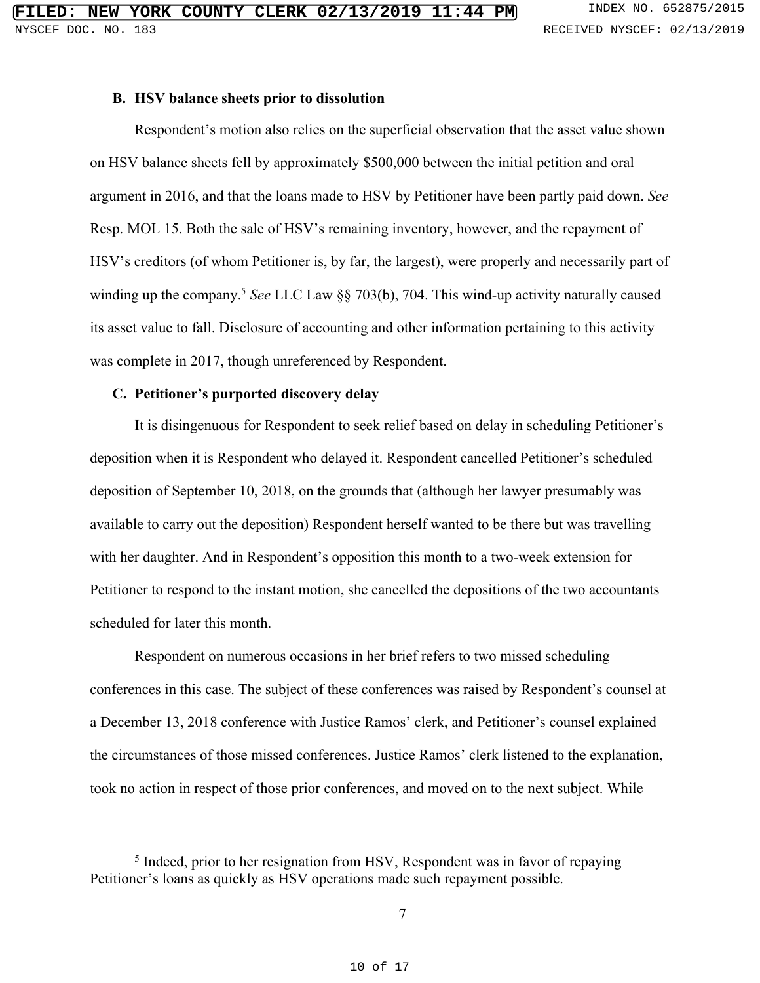#### **B. HSV balance sheets prior to dissolution**

Respondent's motion also relies on the superficial observation that the asset value shown on HSV balance sheets fell by approximately \$500,000 between the initial petition and oral argument in 2016, and that the loans made to HSV by Petitioner have been partly paid down. *See* Resp. MOL 15. Both the sale of HSV's remaining inventory, however, and the repayment of HSV's creditors (of whom Petitioner is, by far, the largest), were properly and necessarily part of winding up the company. <sup>5</sup> *See* LLC Law §§ 703(b), 704. This wind-up activity naturally caused its asset value to fall. Disclosure of accounting and other information pertaining to this activity was complete in 2017, though unreferenced by Respondent.

#### **C. Petitioner's purported discovery delay**

It is disingenuous for Respondent to seek relief based on delay in scheduling Petitioner's deposition when it is Respondent who delayed it. Respondent cancelled Petitioner's scheduled deposition of September 10, 2018, on the grounds that (although her lawyer presumably was available to carry out the deposition) Respondent herself wanted to be there but was travelling with her daughter. And in Respondent's opposition this month to a two-week extension for Petitioner to respond to the instant motion, she cancelled the depositions of the two accountants scheduled for later this month.

Respondent on numerous occasions in her brief refers to two missed scheduling conferences in this case. The subject of these conferences was raised by Respondent's counsel at a December 13, 2018 conference with Justice Ramos' clerk, and Petitioner's counsel explained the circumstances of those missed conferences. Justice Ramos' clerk listened to the explanation, took no action in respect of those prior conferences, and moved on to the next subject. While

<sup>&</sup>lt;sup>5</sup> Indeed, prior to her resignation from HSV, Respondent was in favor of repaying Petitioner's loans as quickly as HSV operations made such repayment possible.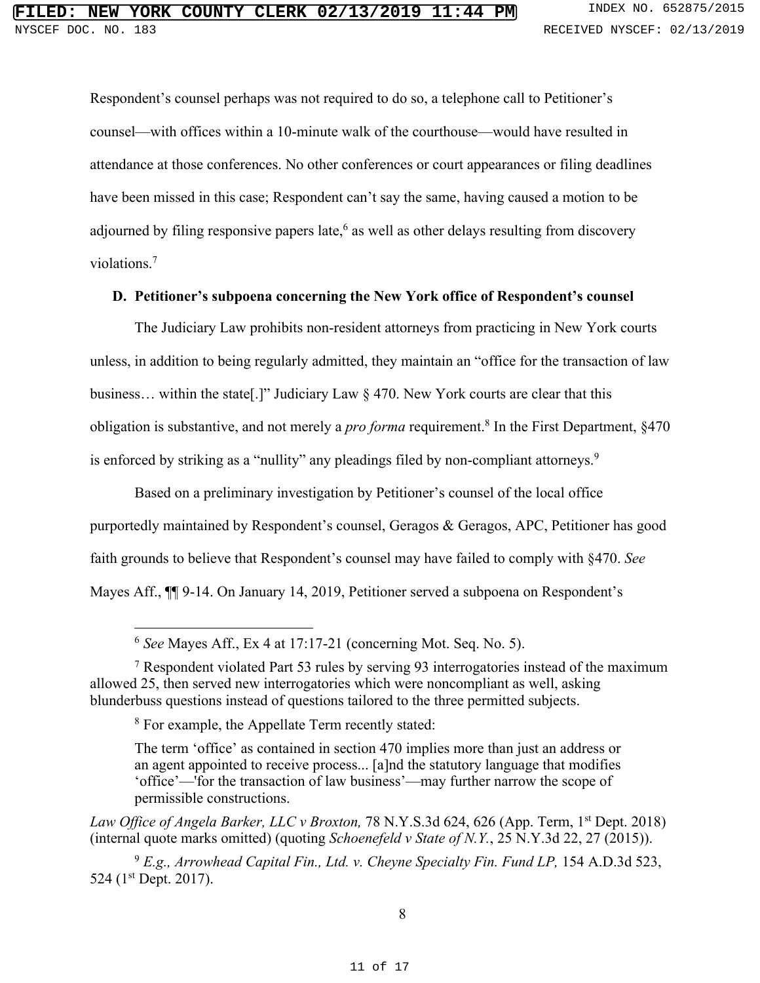Respondent's counsel perhaps was not required to do so, a telephone call to Petitioner's counsel—with offices within a 10-minute walk of the courthouse—would have resulted in attendance at those conferences. No other conferences or court appearances or filing deadlines have been missed in this case; Respondent can't say the same, having caused a motion to be adjourned by filing responsive papers late,<sup>6</sup> as well as other delays resulting from discovery violations. 7

## **D. Petitioner's subpoena concerning the New York office of Respondent's counsel**

The Judiciary Law prohibits non-resident attorneys from practicing in New York courts unless, in addition to being regularly admitted, they maintain an "office for the transaction of law business… within the state[.]" Judiciary Law § 470. New York courts are clear that this obligation is substantive, and not merely a *pro forma* requirement.<sup>8</sup> In the First Department, §470 is enforced by striking as a "nullity" any pleadings filed by non-compliant attorneys.<sup>9</sup>

Based on a preliminary investigation by Petitioner's counsel of the local office purportedly maintained by Respondent's counsel, Geragos & Geragos, APC, Petitioner has good faith grounds to believe that Respondent's counsel may have failed to comply with §470. *See* Mayes Aff., ¶¶ 9-14. On January 14, 2019, Petitioner served a subpoena on Respondent's

 <sup>6</sup> *See* Mayes Aff., Ex 4 at 17:17-21 (concerning Mot. Seq. No. 5).

<sup>7</sup> Respondent violated Part 53 rules by serving 93 interrogatories instead of the maximum allowed 25, then served new interrogatories which were noncompliant as well, asking blunderbuss questions instead of questions tailored to the three permitted subjects.

<sup>8</sup> For example, the Appellate Term recently stated:

The term 'office' as contained in section 470 implies more than just an address or an agent appointed to receive process... [a]nd the statutory language that modifies 'office'—'for the transaction of law business'—may further narrow the scope of permissible constructions.

*Law Office of Angela Barker, LLC v Broxton,* 78 N.Y.S.3d 624, 626 (App. Term, 1st Dept. 2018) (internal quote marks omitted) (quoting *Schoenefeld v State of N.Y.*, 25 N.Y.3d 22, 27 (2015)).

<sup>9</sup> *E.g., Arrowhead Capital Fin., Ltd. v. Cheyne Specialty Fin. Fund LP,* 154 A.D.3d 523, 524 (1<sup>st</sup> Dept. 2017).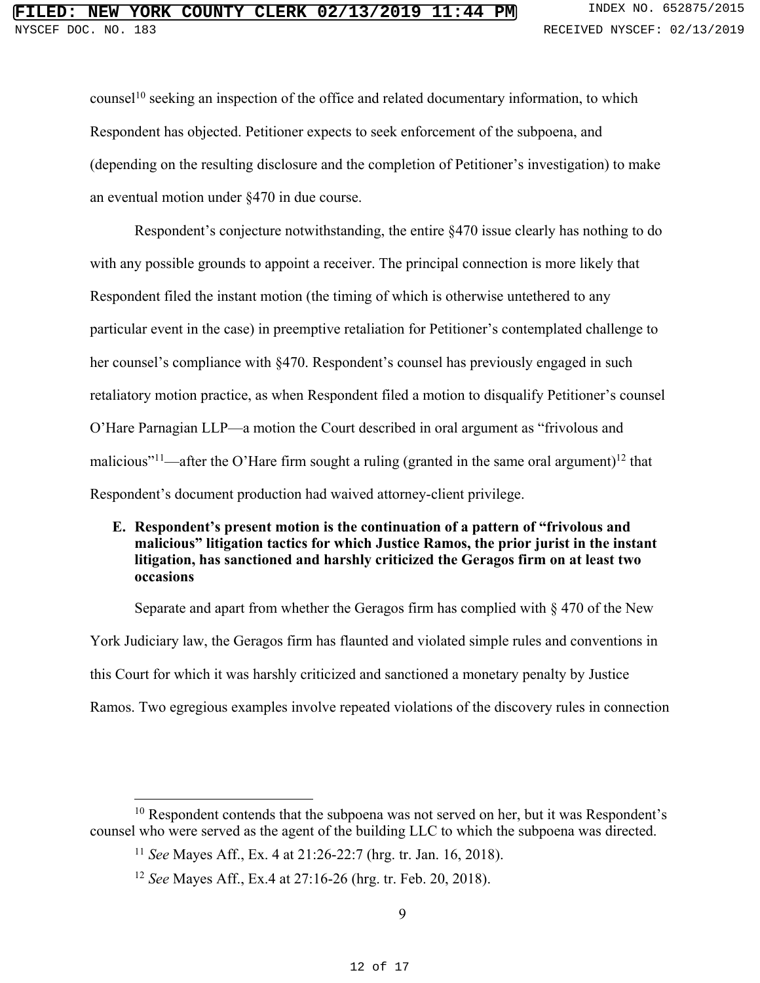counsel<sup>10</sup> seeking an inspection of the office and related documentary information, to which Respondent has objected. Petitioner expects to seek enforcement of the subpoena, and (depending on the resulting disclosure and the completion of Petitioner's investigation) to make an eventual motion under §470 in due course.

Respondent's conjecture notwithstanding, the entire §470 issue clearly has nothing to do with any possible grounds to appoint a receiver. The principal connection is more likely that Respondent filed the instant motion (the timing of which is otherwise untethered to any particular event in the case) in preemptive retaliation for Petitioner's contemplated challenge to her counsel's compliance with §470. Respondent's counsel has previously engaged in such retaliatory motion practice, as when Respondent filed a motion to disqualify Petitioner's counsel O'Hare Parnagian LLP—a motion the Court described in oral argument as "frivolous and malicious"<sup>11</sup>—after the O'Hare firm sought a ruling (granted in the same oral argument)<sup>12</sup> that Respondent's document production had waived attorney-client privilege.

## **E. Respondent's present motion is the continuation of a pattern of "frivolous and malicious" litigation tactics for which Justice Ramos, the prior jurist in the instant litigation, has sanctioned and harshly criticized the Geragos firm on at least two occasions**

Separate and apart from whether the Geragos firm has complied with § 470 of the New York Judiciary law, the Geragos firm has flaunted and violated simple rules and conventions in this Court for which it was harshly criticized and sanctioned a monetary penalty by Justice Ramos. Two egregious examples involve repeated violations of the discovery rules in connection

 $10$  Respondent contends that the subpoena was not served on her, but it was Respondent's counsel who were served as the agent of the building LLC to which the subpoena was directed.

<sup>11</sup> *See* Mayes Aff., Ex. 4 at 21:26-22:7 (hrg. tr. Jan. 16, 2018).

<sup>12</sup> *See* Mayes Aff., Ex.4 at 27:16-26 (hrg. tr. Feb. 20, 2018).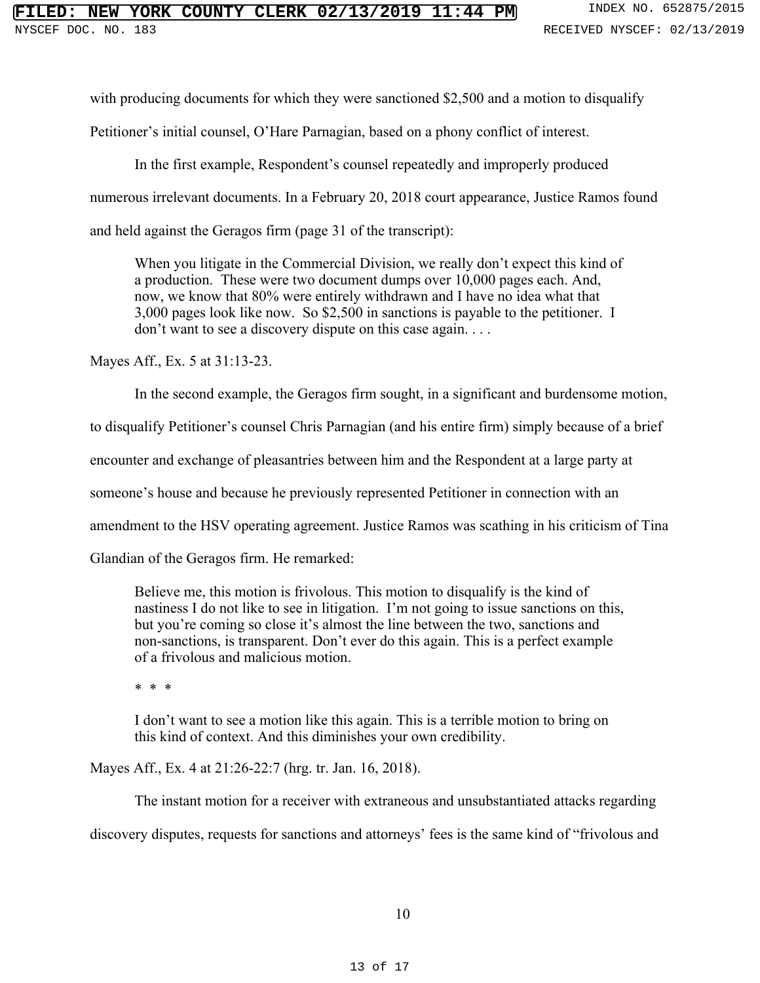# **NEW YORK COUNTY CLERK 02/13/2019 11:44 PM** INDEX NO. 652875/2015

with producing documents for which they were sanctioned \$2,500 and a motion to disqualify

Petitioner's initial counsel, O'Hare Parnagian, based on a phony conflict of interest.

In the first example, Respondent's counsel repeatedly and improperly produced

numerous irrelevant documents. In a February 20, 2018 court appearance, Justice Ramos found

and held against the Geragos firm (page 31 of the transcript):

When you litigate in the Commercial Division, we really don't expect this kind of a production. These were two document dumps over 10,000 pages each. And, now, we know that 80% were entirely withdrawn and I have no idea what that 3,000 pages look like now. So \$2,500 in sanctions is payable to the petitioner. I don't want to see a discovery dispute on this case again. . . .

Mayes Aff., Ex. 5 at 31:13-23.

In the second example, the Geragos firm sought, in a significant and burdensome motion,

to disqualify Petitioner's counsel Chris Parnagian (and his entire firm) simply because of a brief

encounter and exchange of pleasantries between him and the Respondent at a large party at

someone's house and because he previously represented Petitioner in connection with an

amendment to the HSV operating agreement. Justice Ramos was scathing in his criticism of Tina

Glandian of the Geragos firm. He remarked:

Believe me, this motion is frivolous. This motion to disqualify is the kind of nastiness I do not like to see in litigation. I'm not going to issue sanctions on this, but you're coming so close it's almost the line between the two, sanctions and non-sanctions, is transparent. Don't ever do this again. This is a perfect example of a frivolous and malicious motion.

\* \* \*

I don't want to see a motion like this again. This is a terrible motion to bring on this kind of context. And this diminishes your own credibility.

Mayes Aff., Ex. 4 at 21:26-22:7 (hrg. tr. Jan. 16, 2018).

The instant motion for a receiver with extraneous and unsubstantiated attacks regarding discovery disputes, requests for sanctions and attorneys' fees is the same kind of "frivolous and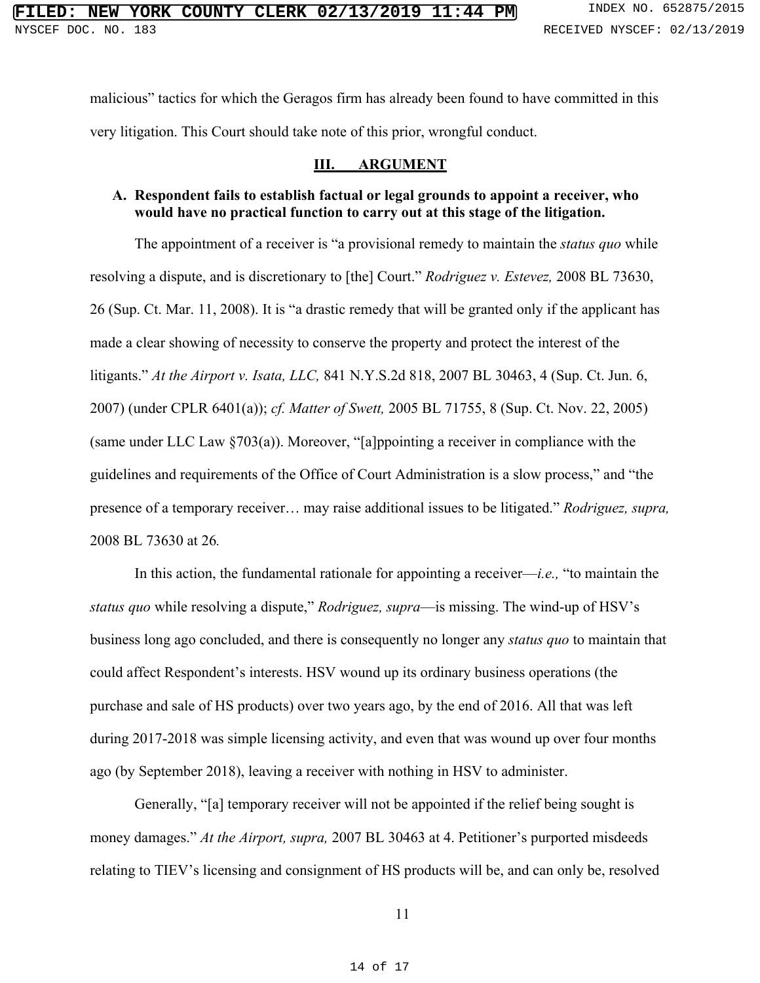malicious" tactics for which the Geragos firm has already been found to have committed in this very litigation. This Court should take note of this prior, wrongful conduct.

#### **III. ARGUMENT**

## **A. Respondent fails to establish factual or legal grounds to appoint a receiver, who would have no practical function to carry out at this stage of the litigation.**

The appointment of a receiver is "a provisional remedy to maintain the *status quo* while resolving a dispute, and is discretionary to [the] Court." *Rodriguez v. Estevez,* 2008 BL 73630, 26 (Sup. Ct. Mar. 11, 2008). It is "a drastic remedy that will be granted only if the applicant has made a clear showing of necessity to conserve the property and protect the interest of the litigants." *At the Airport v. Isata, LLC,* 841 N.Y.S.2d 818, 2007 BL 30463, 4 (Sup. Ct. Jun. 6, 2007) (under CPLR 6401(a)); *cf. Matter of Swett,* 2005 BL 71755, 8 (Sup. Ct. Nov. 22, 2005) (same under LLC Law  $\S703(a)$ ). Moreover, "[a]ppointing a receiver in compliance with the guidelines and requirements of the Office of Court Administration is a slow process," and "the presence of a temporary receiver… may raise additional issues to be litigated." *Rodriguez, supra,*  2008 BL 73630 at 26*.*

In this action, the fundamental rationale for appointing a receiver—*i.e.,* "to maintain the *status quo* while resolving a dispute," *Rodriguez, supra*—is missing. The wind-up of HSV's business long ago concluded, and there is consequently no longer any *status quo* to maintain that could affect Respondent's interests. HSV wound up its ordinary business operations (the purchase and sale of HS products) over two years ago, by the end of 2016. All that was left during 2017-2018 was simple licensing activity, and even that was wound up over four months ago (by September 2018), leaving a receiver with nothing in HSV to administer.

Generally, "[a] temporary receiver will not be appointed if the relief being sought is money damages." *At the Airport, supra,* 2007 BL 30463 at 4. Petitioner's purported misdeeds relating to TIEV's licensing and consignment of HS products will be, and can only be, resolved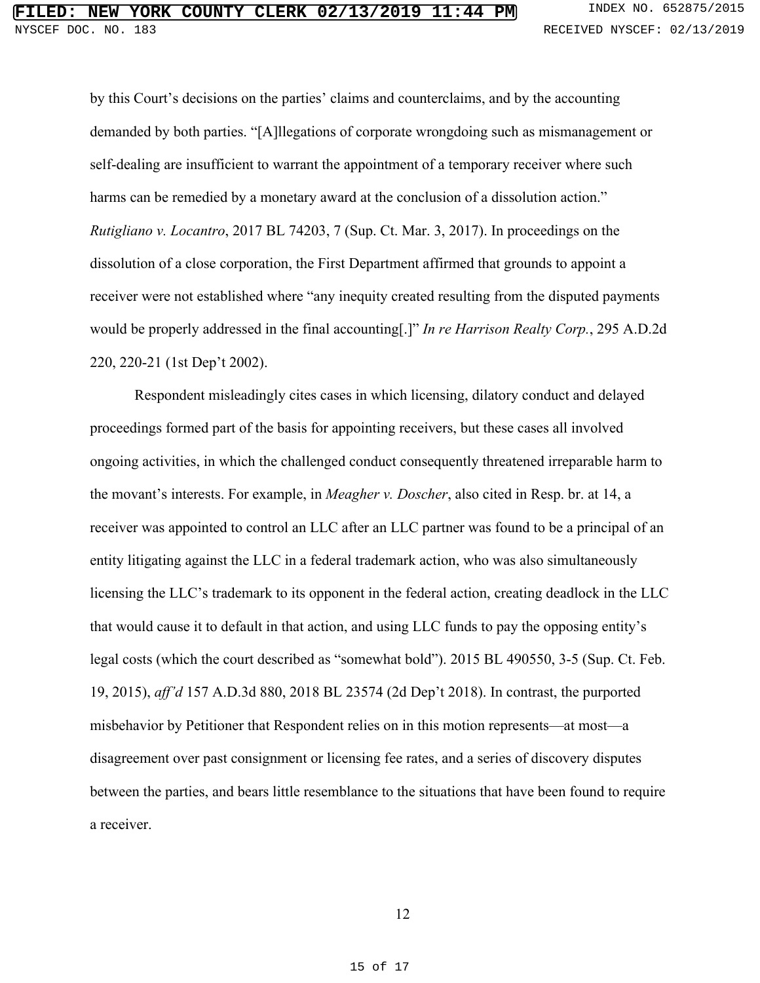by this Court's decisions on the parties' claims and counterclaims, and by the accounting demanded by both parties. "[A]llegations of corporate wrongdoing such as mismanagement or self-dealing are insufficient to warrant the appointment of a temporary receiver where such harms can be remedied by a monetary award at the conclusion of a dissolution action." *Rutigliano v. Locantro*, 2017 BL 74203, 7 (Sup. Ct. Mar. 3, 2017). In proceedings on the dissolution of a close corporation, the First Department affirmed that grounds to appoint a receiver were not established where "any inequity created resulting from the disputed payments would be properly addressed in the final accounting[.]" *In re Harrison Realty Corp.*, 295 A.D.2d 220, 220-21 (1st Dep't 2002).

Respondent misleadingly cites cases in which licensing, dilatory conduct and delayed proceedings formed part of the basis for appointing receivers, but these cases all involved ongoing activities, in which the challenged conduct consequently threatened irreparable harm to the movant's interests. For example, in *Meagher v. Doscher*, also cited in Resp. br. at 14, a receiver was appointed to control an LLC after an LLC partner was found to be a principal of an entity litigating against the LLC in a federal trademark action, who was also simultaneously licensing the LLC's trademark to its opponent in the federal action, creating deadlock in the LLC that would cause it to default in that action, and using LLC funds to pay the opposing entity's legal costs (which the court described as "somewhat bold"). 2015 BL 490550, 3-5 (Sup. Ct. Feb. 19, 2015), *aff'd* 157 A.D.3d 880, 2018 BL 23574 (2d Dep't 2018). In contrast, the purported misbehavior by Petitioner that Respondent relies on in this motion represents—at most—a disagreement over past consignment or licensing fee rates, and a series of discovery disputes between the parties, and bears little resemblance to the situations that have been found to require a receiver.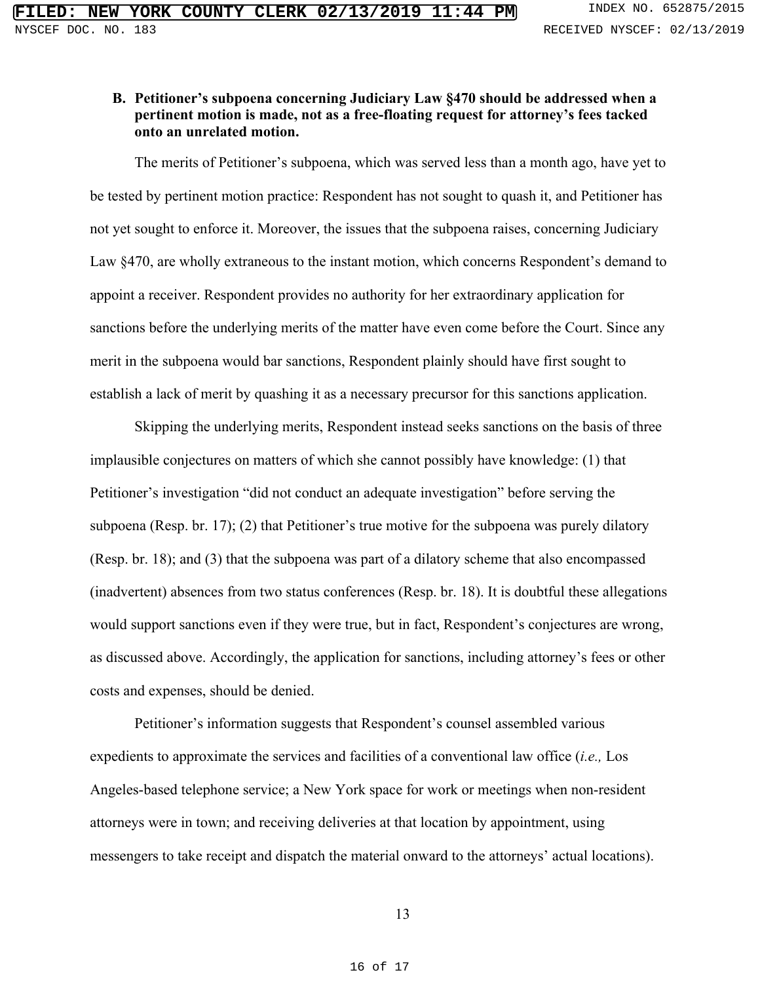## **B. Petitioner's subpoena concerning Judiciary Law §470 should be addressed when a pertinent motion is made, not as a free-floating request for attorney's fees tacked onto an unrelated motion.**

The merits of Petitioner's subpoena, which was served less than a month ago, have yet to be tested by pertinent motion practice: Respondent has not sought to quash it, and Petitioner has not yet sought to enforce it. Moreover, the issues that the subpoena raises, concerning Judiciary Law §470, are wholly extraneous to the instant motion, which concerns Respondent's demand to appoint a receiver. Respondent provides no authority for her extraordinary application for sanctions before the underlying merits of the matter have even come before the Court. Since any merit in the subpoena would bar sanctions, Respondent plainly should have first sought to establish a lack of merit by quashing it as a necessary precursor for this sanctions application.

Skipping the underlying merits, Respondent instead seeks sanctions on the basis of three implausible conjectures on matters of which she cannot possibly have knowledge: (1) that Petitioner's investigation "did not conduct an adequate investigation" before serving the subpoena (Resp. br. 17); (2) that Petitioner's true motive for the subpoena was purely dilatory (Resp. br. 18); and (3) that the subpoena was part of a dilatory scheme that also encompassed (inadvertent) absences from two status conferences (Resp. br. 18). It is doubtful these allegations would support sanctions even if they were true, but in fact, Respondent's conjectures are wrong, as discussed above. Accordingly, the application for sanctions, including attorney's fees or other costs and expenses, should be denied.

Petitioner's information suggests that Respondent's counsel assembled various expedients to approximate the services and facilities of a conventional law office (*i.e.,* Los Angeles-based telephone service; a New York space for work or meetings when non-resident attorneys were in town; and receiving deliveries at that location by appointment, using messengers to take receipt and dispatch the material onward to the attorneys' actual locations).